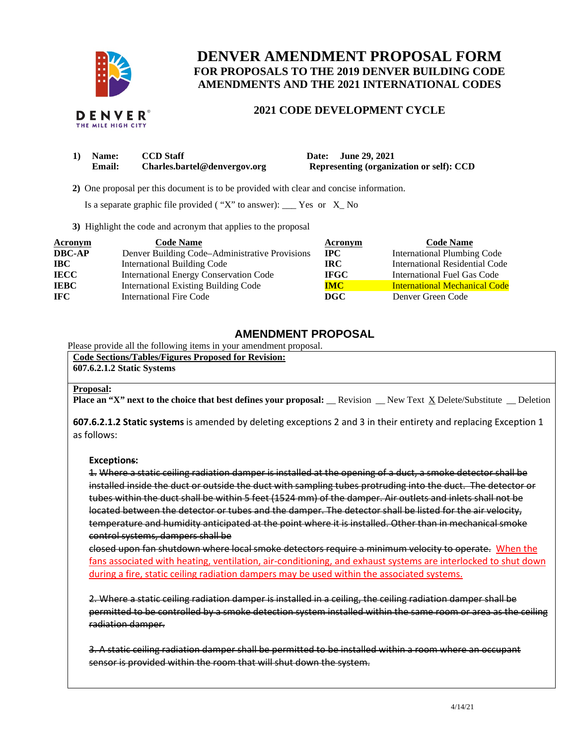

# **DENVER AMENDMENT PROPOSAL FORM FOR PROPOSALS TO THE 2019 DENVER BUILDING CODE AMENDMENTS AND THE 2021 INTERNATIONAL CODES**

#### **DENVER**® THE MILE HIGH CIT

# **2021 CODE DEVELOPMENT CYCLE**

| 1) Name:      | <b>CCD</b> Staff             | Date: June 29, 2021                      |
|---------------|------------------------------|------------------------------------------|
| <b>Email:</b> | Charles.bartel@denvergov.org | Representing (organization or self): CCD |

 **2)** One proposal per this document is to be provided with clear and concise information.

Is a separate graphic file provided ( "X" to answer): \_\_\_ Yes or X\_ No

**3)** Highlight the code and acronym that applies to the proposal

| Acronym       | <b>Code Name</b>                               | Acronym     | <b>Code Name</b>                      |
|---------------|------------------------------------------------|-------------|---------------------------------------|
| <b>DBC-AP</b> | Denver Building Code–Administrative Provisions | $\bf{IPC}$  | <b>International Plumbing Code</b>    |
| <b>IBC</b>    | <b>International Building Code</b>             | IRC.        | <b>International Residential Code</b> |
| <b>IECC</b>   | <b>International Energy Conservation Code</b>  | <b>IFGC</b> | International Fuel Gas Code           |
| <b>IEBC</b>   | <b>International Existing Building Code</b>    | <b>IMC</b>  | <b>International Mechanical Code</b>  |
| <b>IFC</b>    | <b>International Fire Code</b>                 | DGC         | Denver Green Code                     |

## **AMENDMENT PROPOSAL**

Please provide all the following items in your amendment proposal.

**Code Sections/Tables/Figures Proposed for Revision: 607.6.2.1.2 Static Systems**

### **Proposal:**

**Place an "X" next to the choice that best defines your proposal:** Revision New Text X Delete/Substitute Deletion

**607.6.2.1.2 Static systems** is amended by deleting exceptions 2 and 3 in their entirety and replacing Exception 1 as follows:

### **Exceptions:**

1. Where a static ceiling radiation damper is installed at the opening of a duct, a smoke detector shall be installed inside the duct or outside the duct with sampling tubes protruding into the duct. The detector or tubes within the duct shall be within 5 feet (1524 mm) of the damper. Air outlets and inlets shall not be located between the detector or tubes and the damper. The detector shall be listed for the air velocity, temperature and humidity anticipated at the point where it is installed. Other than in mechanical smoke control systems, dampers shall be

closed upon fan shutdown where local smoke detectors require a minimum velocity to operate. When the fans associated with heating, ventilation, air-conditioning, and exhaust systems are interlocked to shut down during a fire, static ceiling radiation dampers may be used within the associated systems.

2. Where a static ceiling radiation damper is installed in a ceiling, the ceiling radiation damper shall be permitted to be controlled by a smoke detection system installed within the same room or area as the ceiling radiation damper.

3. A static ceiling radiation damper shall be permitted to be installed within a room where an occupant sensor is provided within the room that will shut down the system.